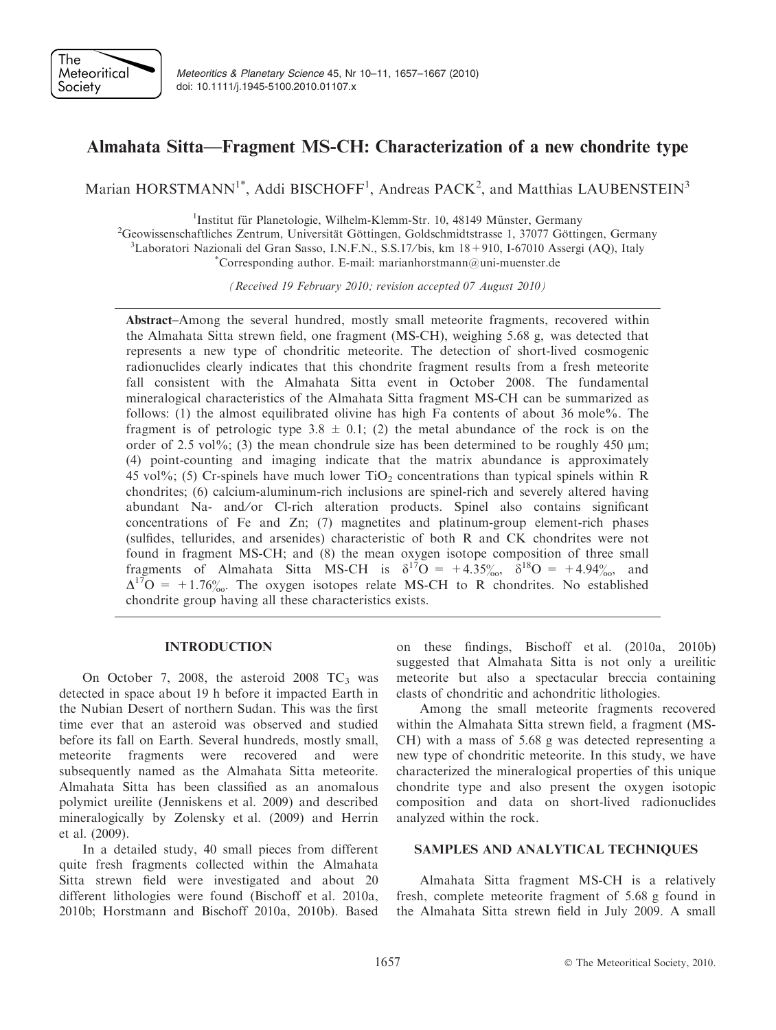

# Almahata Sitta—Fragment MS-CH: Characterization of a new chondrite type

Marian HORSTMANN<sup>1\*</sup>, Addi BISCHOFF<sup>1</sup>, Andreas PACK<sup>2</sup>, and Matthias LAUBENSTEIN<sup>3</sup>

<sup>1</sup>Institut für Planetologie, Wilhelm-Klemm-Str. 10, 48149 Münster, Germany  $\frac{1}{1}$ Institut für Planetologie, Wilhelm-Klemm-Str. 10, 48149 Münster, Germany<br>
<sup>2</sup>Geovissenschaftliches Zentrum, Universität Göttingen, Goldschmidtstrasse 1, 37077 Göttingen Geowissenschaftliches Zentrum, Universität Göttingen, Goldschmidtstrasse 1, 37077 Göttingen, Germany <sup>3</sup>Laboratori Nazionali del Gran Sasso, LN E N. S.S. 177bis, km 18 + 010, L67010 Assersi (AO), Italy  ${}^{3}$ Laboratori Nazionali del Gran Sasso, I.N.F.N., S.S.17/bis, km 18+910, I-67010 Assergi (AQ), Italy

 $^{\ast}$ Corresponding author. E-mail: marianhorstmann@uni-muenster.de

(Received 19 February 2010; revision accepted 07 August 2010)

Abstract–Among the several hundred, mostly small meteorite fragments, recovered within the Almahata Sitta strewn field, one fragment (MS-CH), weighing 5.68 g, was detected that represents a new type of chondritic meteorite. The detection of short-lived cosmogenic radionuclides clearly indicates that this chondrite fragment results from a fresh meteorite fall consistent with the Almahata Sitta event in October 2008. The fundamental mineralogical characteristics of the Almahata Sitta fragment MS-CH can be summarized as follows: (1) the almost equilibrated olivine has high Fa contents of about 36 mole%. The fragment is of petrologic type 3.8  $\pm$  0.1; (2) the metal abundance of the rock is on the order of 2.5 vol<sup> $\%$ </sup>; (3) the mean chondrule size has been determined to be roughly 450  $\mu$ m; (4) point-counting and imaging indicate that the matrix abundance is approximately 45 vol%; (5) Cr-spinels have much lower  $TiO<sub>2</sub>$  concentrations than typical spinels within R chondrites; (6) calcium-aluminum-rich inclusions are spinel-rich and severely altered having abundant Na- and/or Cl-rich alteration products. Spinel also contains significant concentrations of Fe and Zn; (7) magnetites and platinum-group element-rich phases (sulfides, tellurides, and arsenides) characteristic of both R and CK chondrites were not found in fragment MS-CH; and (8) the mean oxygen isotope composition of three small fragments of Almahata Sitta MS-CH is  $\delta^{17}O = +4.35\%_{00}$ ,  $\delta^{18}O = +4.94\%_{00}$ , and  $\Delta^{17}O = +1.76\%$ . The oxygen isotopes relate MS-CH to R chondrites. No established chondrite group having all these characteristics exists.

# INTRODUCTION

On October 7, 2008, the asteroid 2008  $TC_3$  was detected in space about 19 h before it impacted Earth in the Nubian Desert of northern Sudan. This was the first time ever that an asteroid was observed and studied before its fall on Earth. Several hundreds, mostly small, meteorite fragments were recovered and were subsequently named as the Almahata Sitta meteorite. Almahata Sitta has been classified as an anomalous polymict ureilite (Jenniskens et al. 2009) and described mineralogically by Zolensky et al. (2009) and Herrin et al. (2009).

In a detailed study, 40 small pieces from different quite fresh fragments collected within the Almahata Sitta strewn field were investigated and about 20 different lithologies were found (Bischoff et al. 2010a, 2010b; Horstmann and Bischoff 2010a, 2010b). Based on these findings, Bischoff et al. (2010a, 2010b) suggested that Almahata Sitta is not only a ureilitic meteorite but also a spectacular breccia containing clasts of chondritic and achondritic lithologies.

Among the small meteorite fragments recovered within the Almahata Sitta strewn field, a fragment (MS-CH) with a mass of 5.68 g was detected representing a new type of chondritic meteorite. In this study, we have characterized the mineralogical properties of this unique chondrite type and also present the oxygen isotopic composition and data on short-lived radionuclides analyzed within the rock.

## SAMPLES AND ANALYTICAL TECHNIQUES

Almahata Sitta fragment MS-CH is a relatively fresh, complete meteorite fragment of 5.68 g found in the Almahata Sitta strewn field in July 2009. A small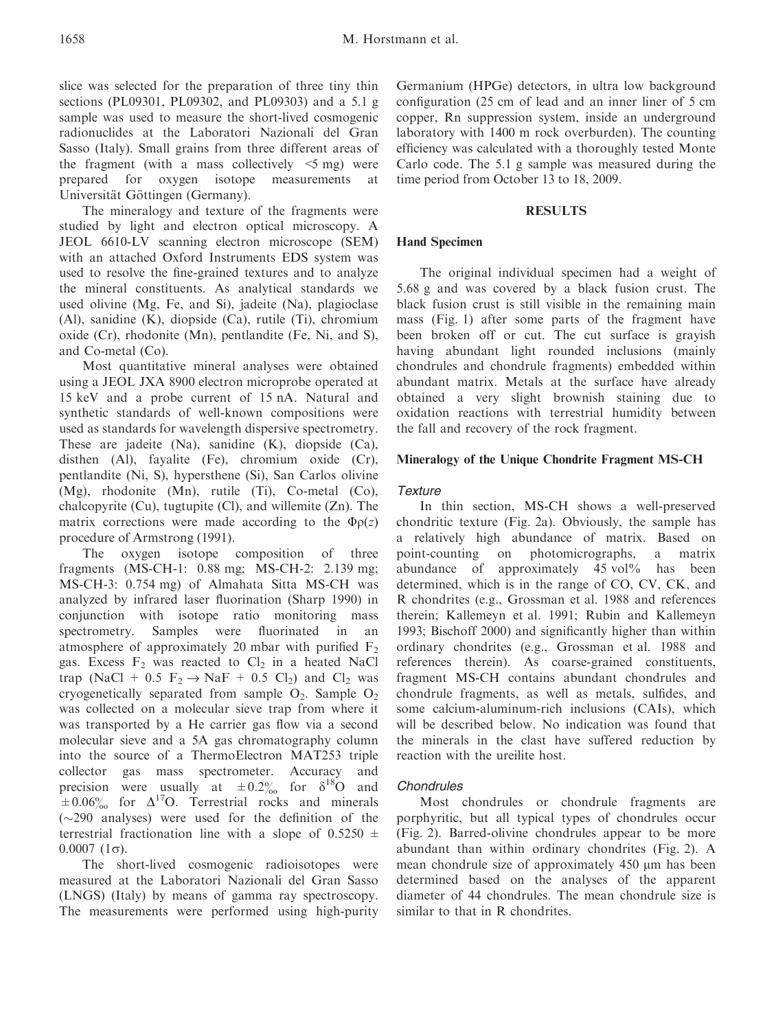slice was selected for the preparation of three tiny thin sections (PL09301, PL09302, and PL09303) and a 5.1 g sample was used to measure the short-lived cosmogenic radionuclides at the Laboratori Nazionali del Gran Sasso (Italy). Small grains from three different areas of the fragment (with a mass collectively  $\leq 5$  mg) were prepared for oxygen isotope measurements at Universität Göttingen (Germany).

The mineralogy and texture of the fragments were studied by light and electron optical microscopy. A JEOL 6610-LV scanning electron microscope (SEM) with an attached Oxford Instruments EDS system was used to resolve the fine-grained textures and to analyze the mineral constituents. As analytical standards we used olivine (Mg, Fe, and Si), jadeite (Na), plagioclase (Al), sanidine (K), diopside (Ca), rutile (Ti), chromium oxide (Cr), rhodonite (Mn), pentlandite (Fe, Ni, and S), and Co-metal (Co).

Most quantitative mineral analyses were obtained using a JEOL JXA 8900 electron microprobe operated at 15 keV and a probe current of 15 nA. Natural and synthetic standards of well-known compositions were used as standards for wavelength dispersive spectrometry. These are jadeite (Na), sanidine (K), diopside (Ca), disthen (Al), fayalite (Fe), chromium oxide (Cr), pentlandite (Ni, S), hypersthene (Si), San Carlos olivine (Mg), rhodonite (Mn), rutile (Ti), Co-metal (Co), chalcopyrite (Cu), tugtupite (Cl), and willemite  $(Zn)$ . The matrix corrections were made according to the  $\Phi$  $p(z)$ procedure of Armstrong (1991).

The oxygen isotope composition of three fragments (MS-CH-1: 0.88 mg; MS-CH-2: 2.139 mg; MS-CH-3: 0.754 mg) of Almahata Sitta MS-CH was analyzed by infrared laser fluorination (Sharp 1990) in conjunction with isotope ratio monitoring mass spectrometry. Samples were fluorinated in an atmosphere of approximately 20 mbar with purified  $F_2$ gas. Excess  $F_2$  was reacted to  $Cl_2$  in a heated NaCl trap (NaCl + 0.5  $F_2 \rightarrow NaF + 0.5$  Cl<sub>2</sub>) and Cl<sub>2</sub> was cryogenetically separated from sample  $O_2$ . Sample  $O_2$ was collected on a molecular sieve trap from where it was transported by a He carrier gas flow via a second molecular sieve and a 5A gas chromatography column into the source of a ThermoElectron MAT253 triple collector gas mass spectrometer. Accuracy and precision were usually at  $\pm 0.2\%$  for  $\delta^{18}O$  and  $\pm 0.06\%$  for  $\Delta^{17}$ O. Terrestrial rocks and minerals  $(\sim 290$  analyses) were used for the definition of the terrestrial fractionation line with a slope of  $0.5250 \pm$  $0.0007$   $(1\sigma)$ .

The short-lived cosmogenic radioisotopes were measured at the Laboratori Nazionali del Gran Sasso (LNGS) (Italy) by means of gamma ray spectroscopy. The measurements were performed using high-purity

Germanium (HPGe) detectors, in ultra low background configuration (25 cm of lead and an inner liner of 5 cm copper, Rn suppression system, inside an underground laboratory with 1400 m rock overburden). The counting efficiency was calculated with a thoroughly tested Monte Carlo code. The 5.1 g sample was measured during the time period from October 13 to 18, 2009.

### **RESULTS**

# Hand Specimen

The original individual specimen had a weight of 5.68 g and was covered by a black fusion crust. The black fusion crust is still visible in the remaining main mass (Fig. 1) after some parts of the fragment have been broken off or cut. The cut surface is grayish having abundant light rounded inclusions (mainly chondrules and chondrule fragments) embedded within abundant matrix. Metals at the surface have already obtained a very slight brownish staining due to oxidation reactions with terrestrial humidity between the fall and recovery of the rock fragment.

## Mineralogy of the Unique Chondrite Fragment MS-CH

#### **Texture**

In thin section, MS-CH shows a well-preserved chondritic texture (Fig. 2a). Obviously, the sample has a relatively high abundance of matrix. Based on point-counting on photomicrographs, a matrix abundance of approximately 45 vol% has been determined, which is in the range of CO, CV, CK, and R chondrites (e.g., Grossman et al. 1988 and references therein; Kallemeyn et al. 1991; Rubin and Kallemeyn 1993; Bischoff 2000) and significantly higher than within ordinary chondrites (e.g., Grossman et al. 1988 and references therein). As coarse-grained constituents, fragment MS-CH contains abundant chondrules and chondrule fragments, as well as metals, sulfides, and some calcium-aluminum-rich inclusions (CAIs), which will be described below. No indication was found that the minerals in the clast have suffered reduction by reaction with the ureilite host.

## **Chondrules**

Most chondrules or chondrule fragments are porphyritic, but all typical types of chondrules occur (Fig. 2). Barred-olivine chondrules appear to be more abundant than within ordinary chondrites (Fig. 2). A mean chondrule size of approximately 450  $\mu$ m has been determined based on the analyses of the apparent diameter of 44 chondrules. The mean chondrule size is similar to that in R chondrites.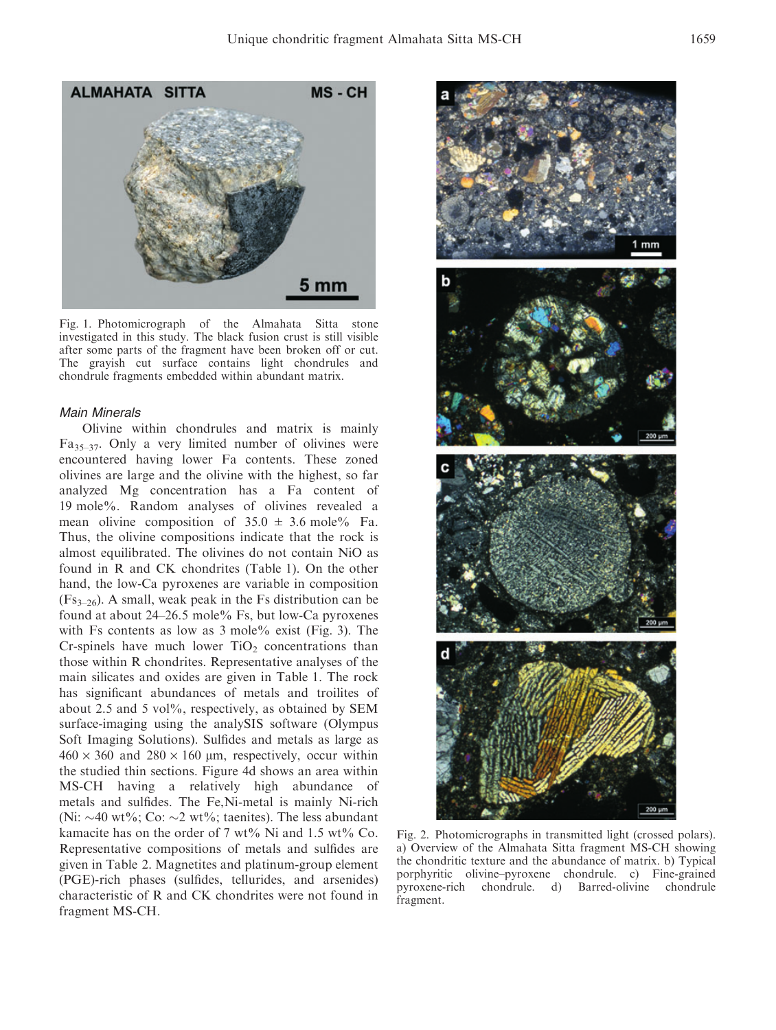

Fig. 1. Photomicrograph of the Almahata Sitta stone investigated in this study. The black fusion crust is still visible after some parts of the fragment have been broken off or cut. The grayish cut surface contains light chondrules and chondrule fragments embedded within abundant matrix.

#### Main Minerals

Olivine within chondrules and matrix is mainly Fa35–37. Only a very limited number of olivines were encountered having lower Fa contents. These zoned olivines are large and the olivine with the highest, so far analyzed Mg concentration has a Fa content of 19 mole%. Random analyses of olivines revealed a mean olivine composition of  $35.0 \pm 3.6$  mole% Fa. Thus, the olivine compositions indicate that the rock is almost equilibrated. The olivines do not contain NiO as found in R and CK chondrites (Table 1). On the other hand, the low-Ca pyroxenes are variable in composition  $(Fs_{3-26})$ . A small, weak peak in the Fs distribution can be found at about 24–26.5 mole% Fs, but low-Ca pyroxenes with Fs contents as low as 3 mole% exist (Fig. 3). The Cr-spinels have much lower  $TiO<sub>2</sub>$  concentrations than those within R chondrites. Representative analyses of the main silicates and oxides are given in Table 1. The rock has significant abundances of metals and troilites of about 2.5 and 5 vol%, respectively, as obtained by SEM surface-imaging using the analySIS software (Olympus Soft Imaging Solutions). Sulfides and metals as large as  $460 \times 360$  and  $280 \times 160$  µm, respectively, occur within the studied thin sections. Figure 4d shows an area within MS-CH having a relatively high abundance of metals and sulfides. The Fe,Ni-metal is mainly Ni-rich (Ni:  $\sim$ 40 wt%; Co:  $\sim$ 2 wt%; taenites). The less abundant kamacite has on the order of 7 wt% Ni and 1.5 wt% Co. Representative compositions of metals and sulfides are given in Table 2. Magnetites and platinum-group element (PGE)-rich phases (sulfides, tellurides, and arsenides) characteristic of R and CK chondrites were not found in fragment MS-CH.



Fig. 2. Photomicrographs in transmitted light (crossed polars). a) Overview of the Almahata Sitta fragment MS-CH showing the chondritic texture and the abundance of matrix. b) Typical porphyritic olivine–pyroxene chondrule. c) Fine-grained pyroxene-rich chondrule. d) Barred-olivine chondrule fragment.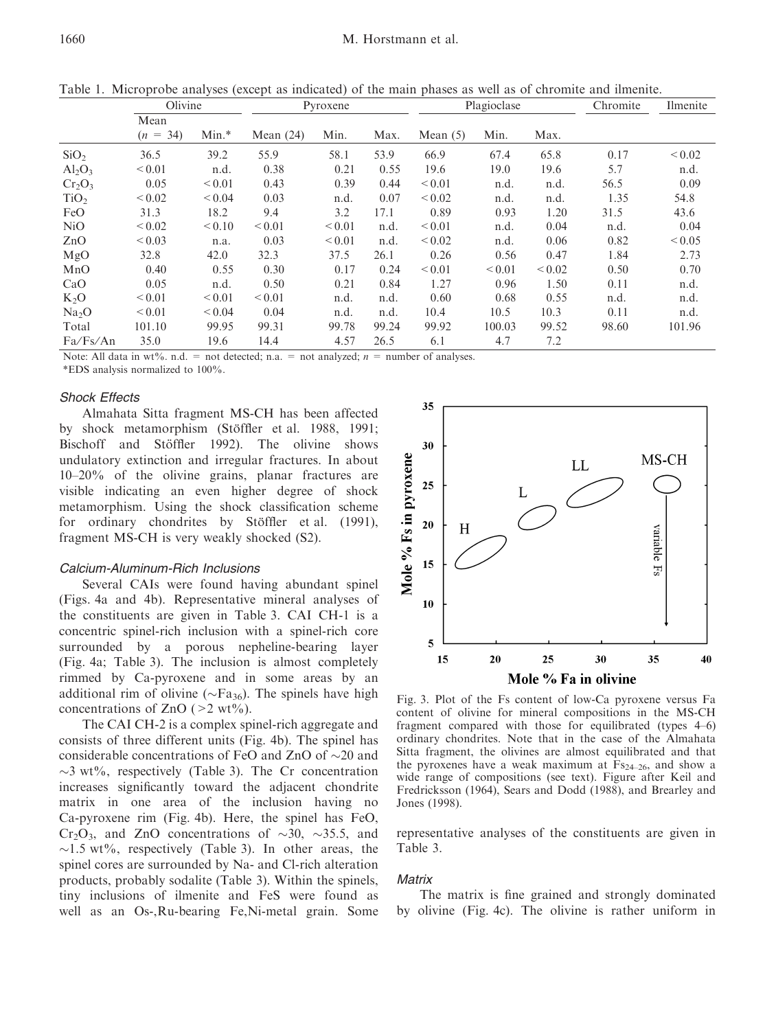|                   | л.<br>Olivine      |             | л.<br>Pyroxene |             |       | $\mathbf{r}$<br>Plagioclase |             |             | Chromite | Ilmenite    |
|-------------------|--------------------|-------------|----------------|-------------|-------|-----------------------------|-------------|-------------|----------|-------------|
|                   | Mean<br>$(n = 34)$ | $Min.*$     | Mean $(24)$    | Min.        | Max.  | Mean $(5)$                  | Min.        | Max.        |          |             |
| SiO <sub>2</sub>  | 36.5               | 39.2        | 55.9           | 58.1        | 53.9  | 66.9                        | 67.4        | 65.8        | 0.17     | ${}_{0.02}$ |
| $Al_2O_3$         | ${}_{0.01}$        | n.d.        | 0.38           | 0.21        | 0.55  | 19.6                        | 19.0        | 19.6        | 5.7      | n.d.        |
| $Cr_2O_3$         | 0.05               | ${}_{0.01}$ | 0.43           | 0.39        | 0.44  | ${}_{0.01}$                 | n.d.        | n.d.        | 56.5     | 0.09        |
| TiO <sub>2</sub>  | ${}_{0.02}$        | ${}_{0.04}$ | 0.03           | n.d.        | 0.07  | ${}_{0.02}$                 | n.d.        | n.d.        | 1.35     | 54.8        |
| FeO               | 31.3               | 18.2        | 9.4            | 3.2         | 17.1  | 0.89                        | 0.93        | 1.20        | 31.5     | 43.6        |
| NiO               | ${}_{0.02}$        | < 0.10      | ${}_{0.01}$    | ${}_{0.01}$ | n.d.  | ${}_{0.01}$                 | n.d.        | 0.04        | n.d.     | 0.04        |
| ZnO               | ${}_{0.03}$        | n.a.        | 0.03           | ${}_{0.01}$ | n.d.  | ${}_{0.02}$                 | n.d.        | 0.06        | 0.82     | ${}_{0.05}$ |
| MgO               | 32.8               | 42.0        | 32.3           | 37.5        | 26.1  | 0.26                        | 0.56        | 0.47        | 1.84     | 2.73        |
| MnO               | 0.40               | 0.55        | 0.30           | 0.17        | 0.24  | ${}_{0.01}$                 | ${}_{0.01}$ | ${}_{0.02}$ | 0.50     | 0.70        |
| CaO               | 0.05               | n.d.        | 0.50           | 0.21        | 0.84  | 1.27                        | 0.96        | 1.50        | 0.11     | n.d.        |
| $K_2O$            | ${}_{0.01}$        | ${}_{0.01}$ | ${}_{0.01}$    | n.d.        | n.d.  | 0.60                        | 0.68        | 0.55        | n.d.     | n.d.        |
| Na <sub>2</sub> O | ${}_{0.01}$        | < 0.04      | 0.04           | n.d.        | n.d.  | 10.4                        | 10.5        | 10.3        | 0.11     | n.d.        |
| Total             | 101.10             | 99.95       | 99.31          | 99.78       | 99.24 | 99.92                       | 100.03      | 99.52       | 98.60    | 101.96      |
| Fa/Fs/An          | 35.0               | 19.6        | 14.4           | 4.57        | 26.5  | 6.1                         | 4.7         | 7.2         |          |             |

Table 1. Microprobe analyses (except as indicated) of the main phases as well as of chromite and ilmenite.

Note: All data in wt%. n.d. = not detected; n.a. = not analyzed;  $n =$  number of analyses.

\*EDS analysis normalized to 100%.

# Shock Effects

Almahata Sitta fragment MS-CH has been affected by shock metamorphism (Stöffler et al. 1988, 1991; Bischoff and Stöffler 1992). The olivine shows undulatory extinction and irregular fractures. In about 10–20% of the olivine grains, planar fractures are visible indicating an even higher degree of shock metamorphism. Using the shock classification scheme for ordinary chondrites by Stöffler et al. (1991), fragment MS-CH is very weakly shocked (S2).

# Calcium-Aluminum-Rich Inclusions

Several CAIs were found having abundant spinel (Figs. 4a and 4b). Representative mineral analyses of the constituents are given in Table 3. CAI CH-1 is a concentric spinel-rich inclusion with a spinel-rich core surrounded by a porous nepheline-bearing layer (Fig. 4a; Table 3). The inclusion is almost completely rimmed by Ca-pyroxene and in some areas by an additional rim of olivine ( $\sim$ Fa<sub>36</sub>). The spinels have high concentrations of ZnO ( $>2$  wt%).

The CAI CH-2 is a complex spinel-rich aggregate and consists of three different units (Fig. 4b). The spinel has considerable concentrations of FeO and ZnO of  $\sim$ 20 and  $\sim$ 3 wt%, respectively (Table 3). The Cr concentration increases significantly toward the adjacent chondrite matrix in one area of the inclusion having no Ca-pyroxene rim (Fig. 4b). Here, the spinel has FeO,  $Cr_2O_3$ , and ZnO concentrations of  $\sim$ 30,  $\sim$ 35.5, and  $\sim$ 1.5 wt%, respectively (Table 3). In other areas, the spinel cores are surrounded by Na- and Cl-rich alteration products, probably sodalite (Table 3). Within the spinels, tiny inclusions of ilmenite and FeS were found as well as an Os-,Ru-bearing Fe,Ni-metal grain. Some



Fig. 3. Plot of the Fs content of low-Ca pyroxene versus Fa content of olivine for mineral compositions in the MS-CH fragment compared with those for equilibrated (types 4–6) ordinary chondrites. Note that in the case of the Almahata Sitta fragment, the olivines are almost equilibrated and that the pyroxenes have a weak maximum at  $Fs_{24-26}$ , and show a wide range of compositions (see text). Figure after Keil and Fredricksson (1964), Sears and Dodd (1988), and Brearley and Jones (1998).

representative analyses of the constituents are given in Table 3.

#### **Matrix**

The matrix is fine grained and strongly dominated by olivine (Fig. 4c). The olivine is rather uniform in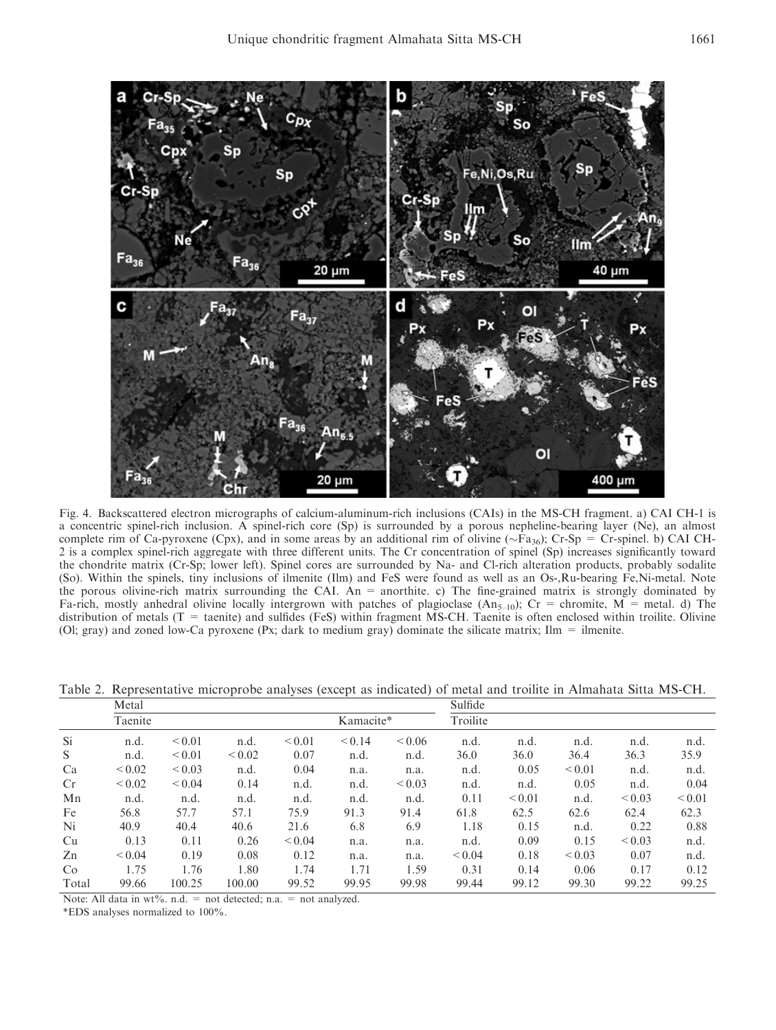

Fig. 4. Backscattered electron micrographs of calcium-aluminum-rich inclusions (CAIs) in the MS-CH fragment. a) CAI CH-1 is a concentric spinel-rich inclusion. A spinel-rich core (Sp) is surrounded by a porous nepheline-bearing layer (Ne), an almost complete rim of Ca-pyroxene (Cpx), and in some areas by an additional rim of olivine ( $\sim$ Fa<sub>36</sub>); Cr-Sp = Cr-spinel. b) CAI CH-2 is a complex spinel-rich aggregate with three different units. The Cr concentration of spinel (Sp) increases significantly toward the chondrite matrix (Cr-Sp; lower left). Spinel cores are surrounded by Na- and Cl-rich alteration products, probably sodalite (So). Within the spinels, tiny inclusions of ilmenite (Ilm) and FeS were found as well as an Os-,Ru-bearing Fe,Ni-metal. Note the porous olivine-rich matrix surrounding the CAI. An = anorthite. c) The fine-grained matrix is strongly dominated by Fa-rich, mostly anhedral olivine locally intergrown with patches of plagioclase  $(An_{5-10})$ ; Cr = chromite, M = metal. d) The distribution of metals (T = taenite) and sulfides (FeS) within fragment MS-CH. Taenite is often enclosed within troilite. Olivine (Ol; gray) and zoned low-Ca pyroxene (Px; dark to medium gray) dominate the silicate matrix;  $\text{Im} = \text{ilmente}$ .

Table 2. Representative microprobe analyses (except as indicated) of metal and troilite in Almahata Sitta MS-CH.

|       | Metal       |             |             |             | Sulfide     |             |             |             |             |             |             |
|-------|-------------|-------------|-------------|-------------|-------------|-------------|-------------|-------------|-------------|-------------|-------------|
|       | Taenite     |             |             |             |             | Kamacite*   |             |             |             |             |             |
| Si.   | n.d.        | ${}_{0.01}$ | n.d.        | ${}_{0.01}$ | ${}_{0.14}$ | ${}_{0.06}$ | n.d.        | n.d.        | n.d.        | n.d.        | n.d.        |
| S     | n.d.        | ${}_{0.01}$ | ${}_{0.02}$ | 0.07        | n.d.        | n.d.        | 36.0        | 36.0        | 36.4        | 36.3        | 35.9        |
| Ca    | ${}_{0.02}$ | ${}_{0.03}$ | n.d.        | 0.04        | n.a.        | n.a.        | n.d.        | 0.05        | ${}_{0.01}$ | n.d.        | n.d.        |
| Cr    | ${}_{0.02}$ | ${}_{0.04}$ | 0.14        | n.d.        | n.d.        | ${}_{0.03}$ | n.d.        | n.d.        | 0.05        | n.d.        | 0.04        |
| Mn    | n.d.        | n.d.        | n.d.        | n.d.        | n.d.        | n.d.        | 0.11        | ${}_{0.01}$ | n.d.        | ${}_{0.03}$ | ${}_{0.01}$ |
| Fe    | 56.8        | 57.7        | 57.1        | 75.9        | 91.3        | 91.4        | 61.8        | 62.5        | 62.6        | 62.4        | 62.3        |
| Ni    | 40.9        | 40.4        | 40.6        | 21.6        | 6.8         | 6.9         | 1.18        | 0.15        | n.d.        | 0.22        | 0.88        |
| Cu    | 0.13        | 0.11        | 0.26        | ${}_{0.04}$ | n.a.        | n.a.        | n.d.        | 0.09        | 0.15        | ${}_{0.03}$ | n.d.        |
| Zn    | ${}_{0.04}$ | 0.19        | 0.08        | 0.12        | n.a.        | n.a.        | ${}_{0.04}$ | 0.18        | ${}_{0.03}$ | 0.07        | n.d.        |
| Co    | 1.75        | 1.76        | 1.80        | 1.74        | 1.71        | 1.59        | 0.31        | 0.14        | 0.06        | 0.17        | 0.12        |
| Total | 99.66       | 100.25      | 100.00      | 99.52       | 99.95       | 99.98       | 99.44       | 99.12       | 99.30       | 99.22       | 99.25       |

Note: All data in  $wt\%$ . n.d. = not detected; n.a. = not analyzed.

\*EDS analyses normalized to 100%.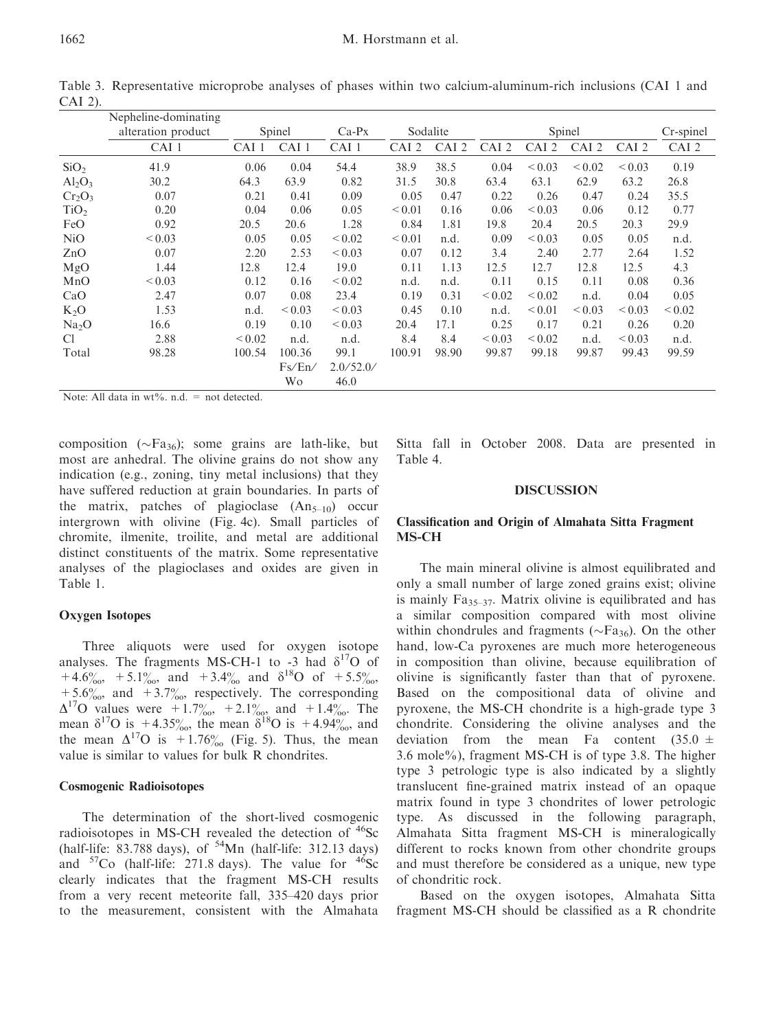|                   | Nepheline-dominating |             |                  |                     |             |        |             |             |             |                  |             |
|-------------------|----------------------|-------------|------------------|---------------------|-------------|--------|-------------|-------------|-------------|------------------|-------------|
|                   | alteration product   | Spinel      |                  | Sodalite<br>$Ca-PX$ |             | Spinel |             |             |             | Cr-spinel        |             |
|                   | CAI 1                | CAI 1       | CAI <sub>1</sub> | CAI <sub>1</sub>    | CAI 2       | CAI 2  | CAI 2       | CAI 2       | CAI 2       | CAI <sub>2</sub> | CAI 2       |
| SiO <sub>2</sub>  | 41.9                 | 0.06        | 0.04             | 54.4                | 38.9        | 38.5   | 0.04        | ${}_{0.03}$ | ${}_{0.02}$ | ${}_{0.03}$      | 0.19        |
| $Al_2O_3$         | 30.2                 | 64.3        | 63.9             | 0.82                | 31.5        | 30.8   | 63.4        | 63.1        | 62.9        | 63.2             | 26.8        |
| $Cr_2O_3$         | 0.07                 | 0.21        | 0.41             | 0.09                | 0.05        | 0.47   | 0.22        | 0.26        | 0.47        | 0.24             | 35.5        |
| TiO <sub>2</sub>  | 0.20                 | 0.04        | 0.06             | 0.05                | ${}_{0.01}$ | 0.16   | 0.06        | < 0.03      | 0.06        | 0.12             | 0.77        |
| FeO               | 0.92                 | 20.5        | 20.6             | 1.28                | 0.84        | 1.81   | 19.8        | 20.4        | 20.5        | 20.3             | 29.9        |
| NiO               | ${}_{0.03}$          | 0.05        | 0.05             | ${}_{0.02}$         | ${}_{0.01}$ | n.d.   | 0.09        | ${}_{0.03}$ | 0.05        | 0.05             | n.d.        |
| ZnO               | 0.07                 | 2.20        | 2.53             | ${}_{0.03}$         | 0.07        | 0.12   | 3.4         | 2.40        | 2.77        | 2.64             | 1.52        |
| MgO               | 1.44                 | 12.8        | 12.4             | 19.0                | 0.11        | 1.13   | 12.5        | 12.7        | 12.8        | 12.5             | 4.3         |
| MnO               | ${}_{0.03}$          | 0.12        | 0.16             | ${}_{0.02}$         | n.d.        | n.d.   | 0.11        | 0.15        | 0.11        | 0.08             | 0.36        |
| CaO               | 2.47                 | 0.07        | 0.08             | 23.4                | 0.19        | 0.31   | ${}_{0.02}$ | ${}_{0.02}$ | n.d.        | 0.04             | 0.05        |
| $K_2O$            | 1.53                 | n.d.        | ${}_{0.03}$      | ${}_{0.03}$         | 0.45        | 0.10   | n.d.        | ${}_{0.01}$ | ${}_{0.03}$ | ${}_{0.03}$      | ${}_{0.02}$ |
| Na <sub>2</sub> O | 16.6                 | 0.19        | 0.10             | ${}_{0.03}$         | 20.4        | 17.1   | 0.25        | 0.17        | 0.21        | 0.26             | 0.20        |
| C <sub>1</sub>    | 2.88                 | ${}_{0.02}$ | n.d.             | n.d.                | 8.4         | 8.4    | ${}_{0.03}$ | ${}_{0.02}$ | n.d.        | ${}_{0.03}$      | n.d.        |
| Total             | 98.28                | 100.54      | 100.36           | 99.1                | 100.91      | 98.90  | 99.87       | 99.18       | 99.87       | 99.43            | 99.59       |
|                   |                      |             | Fs/En/           | 2.0/52.0/           |             |        |             |             |             |                  |             |
|                   |                      |             | Wo.              | 46.0                |             |        |             |             |             |                  |             |

Table 3. Representative microprobe analyses of phases within two calcium-aluminum-rich inclusions (CAI 1 and CAI 2).

Note: All data in  $wt\%$ . n.d. = not detected.

composition ( $\sim$ Fa<sub>36</sub>); some grains are lath-like, but most are anhedral. The olivine grains do not show any indication (e.g., zoning, tiny metal inclusions) that they have suffered reduction at grain boundaries. In parts of the matrix, patches of plagioclase  $(An_{5-10})$  occur intergrown with olivine (Fig. 4c). Small particles of chromite, ilmenite, troilite, and metal are additional distinct constituents of the matrix. Some representative analyses of the plagioclases and oxides are given in Table 1.

## Oxygen Isotopes

Three aliquots were used for oxygen isotope analyses. The fragments MS-CH-1 to -3 had  $\delta^{17}O$  of +4.6 $\frac{\%}{\%}$ , +5.1 $\frac{\%}{\%}$ , and +3.4 $\frac{\%}{\%}$  and  $\delta^{18}$ O of +5.5 $\frac{\%}{\%}$ ,  $+5.6\%$ , and  $+3.7\%$ , respectively. The corresponding  $\Delta^{17}$ O values were  $+1.7\%$ ,  $+2.1\%$ , and  $+1.4\%$ . The mean  $\delta^{17}O$  is +4.35%, the mean  $\delta^{18}O$  is +4.94%, and the mean  $\Delta^{17}O$  is  $+1.76\%$  (Fig. 5). Thus, the mean value is similar to values for bulk R chondrites.

#### Cosmogenic Radioisotopes

The determination of the short-lived cosmogenic radioisotopes in MS-CH revealed the detection of  $^{46}$ Sc (half-life:  $83.788$  days), of  $54$ Mn (half-life: 312.13 days) and  ${}^{57}Co$  (half-life: 271.8 days). The value for  ${}^{46}Sc$ clearly indicates that the fragment MS-CH results from a very recent meteorite fall, 335–420 days prior to the measurement, consistent with the Almahata Sitta fall in October 2008. Data are presented in Table 4.

#### DISCUSSION

# Classification and Origin of Almahata Sitta Fragment MS-CH

The main mineral olivine is almost equilibrated and only a small number of large zoned grains exist; olivine is mainly  $Fa_{35-37}$ . Matrix olivine is equilibrated and has a similar composition compared with most olivine within chondrules and fragments ( $\sim$ Fa<sub>36</sub>). On the other hand, low-Ca pyroxenes are much more heterogeneous in composition than olivine, because equilibration of olivine is significantly faster than that of pyroxene. Based on the compositional data of olivine and pyroxene, the MS-CH chondrite is a high-grade type 3 chondrite. Considering the olivine analyses and the deviation from the mean Fa content  $(35.0 \pm$ 3.6 mole%), fragment MS-CH is of type 3.8. The higher type 3 petrologic type is also indicated by a slightly translucent fine-grained matrix instead of an opaque matrix found in type 3 chondrites of lower petrologic type. As discussed in the following paragraph, Almahata Sitta fragment MS-CH is mineralogically different to rocks known from other chondrite groups and must therefore be considered as a unique, new type of chondritic rock.

Based on the oxygen isotopes, Almahata Sitta fragment MS-CH should be classified as a R chondrite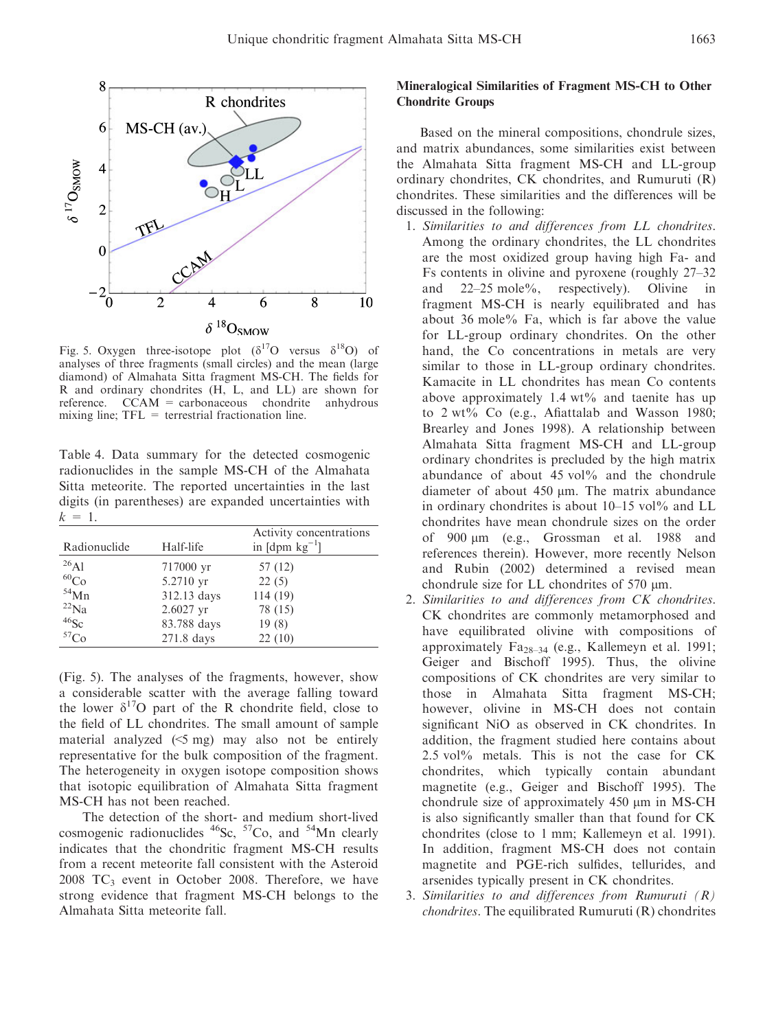

Fig. 5. Oxygen three-isotope plot  $(\delta^{17}O$  versus  $\delta^{18}O$  of analyses of three fragments (small circles) and the mean (large diamond) of Almahata Sitta fragment MS-CH. The fields for R and ordinary chondrites (H, L, and LL) are shown for reference. CCAM = carbonaceous chondrite anhydrous mixing line;  $TFL =$  terrestrial fractionation line.

Table 4. Data summary for the detected cosmogenic radionuclides in the sample MS-CH of the Almahata Sitta meteorite. The reported uncertainties in the last digits (in parentheses) are expanded uncertainties with  $k = 1$ .

| Radionuclide     | Half-life   | Activity concentrations<br>in $[dpm kg^{-1}]$ |
|------------------|-------------|-----------------------------------------------|
| $^{26}$ A1       | 717000 yr   | 57 (12)                                       |
| ${}^{60}Co$      | 5.2710 yr   | 22(5)                                         |
| $54$ Mn          | 312.13 days | 114 (19)                                      |
| $^{22}$ Na       | 2.6027 yr   | 78 (15)                                       |
| $46$ Sc          | 83.788 days | 19(8)                                         |
| 57 <sub>Co</sub> | 271.8 days  | 22(10)                                        |

(Fig. 5). The analyses of the fragments, however, show a considerable scatter with the average falling toward the lower  $\delta^{17}O$  part of the R chondrite field, close to the field of LL chondrites. The small amount of sample material analyzed  $(5 \text{ mg})$  may also not be entirely representative for the bulk composition of the fragment. The heterogeneity in oxygen isotope composition shows that isotopic equilibration of Almahata Sitta fragment MS-CH has not been reached.

The detection of the short- and medium short-lived cosmogenic radionuclides  $^{46}$ Sc,  $^{57}$ Co, and  $^{54}$ Mn clearly indicates that the chondritic fragment MS-CH results from a recent meteorite fall consistent with the Asteroid  $2008$  TC<sub>3</sub> event in October 2008. Therefore, we have strong evidence that fragment MS-CH belongs to the Almahata Sitta meteorite fall.

# Mineralogical Similarities of Fragment MS-CH to Other Chondrite Groups

Based on the mineral compositions, chondrule sizes, and matrix abundances, some similarities exist between the Almahata Sitta fragment MS-CH and LL-group ordinary chondrites, CK chondrites, and Rumuruti (R) chondrites. These similarities and the differences will be discussed in the following:

- 1. Similarities to and differences from LL chondrites. Among the ordinary chondrites, the LL chondrites are the most oxidized group having high Fa- and Fs contents in olivine and pyroxene (roughly 27–32 and 22–25 mole%, respectively). Olivine in fragment MS-CH is nearly equilibrated and has about 36 mole% Fa, which is far above the value for LL-group ordinary chondrites. On the other hand, the Co concentrations in metals are very similar to those in LL-group ordinary chondrites. Kamacite in LL chondrites has mean Co contents above approximately 1.4  $wt\%$  and taenite has up to 2 wt% Co (e.g., Afiattalab and Wasson 1980; Brearley and Jones 1998). A relationship between Almahata Sitta fragment MS-CH and LL-group ordinary chondrites is precluded by the high matrix abundance of about 45 vol% and the chondrule diameter of about  $450 \mu m$ . The matrix abundance in ordinary chondrites is about  $10-15$  vol $\%$  and LL chondrites have mean chondrule sizes on the order of 900  $\mu$ m (e.g., Grossman et al. 1988 and references therein). However, more recently Nelson and Rubin (2002) determined a revised mean chondrule size for LL chondrites of  $570 \mu m$ .
- 2. Similarities to and differences from CK chondrites. CK chondrites are commonly metamorphosed and have equilibrated olivine with compositions of approximately Fa28–34 (e.g., Kallemeyn et al. 1991; Geiger and Bischoff 1995). Thus, the olivine compositions of CK chondrites are very similar to those in Almahata Sitta fragment MS-CH; however, olivine in MS-CH does not contain significant NiO as observed in CK chondrites. In addition, the fragment studied here contains about 2.5 vol% metals. This is not the case for CK chondrites, which typically contain abundant magnetite (e.g., Geiger and Bischoff 1995). The chondrule size of approximately  $450 \mu m$  in MS-CH is also significantly smaller than that found for CK chondrites (close to 1 mm; Kallemeyn et al. 1991). In addition, fragment MS-CH does not contain magnetite and PGE-rich sulfides, tellurides, and arsenides typically present in CK chondrites.
- 3. Similarities to and differences from Rumuruti  $(R)$ chondrites. The equilibrated Rumuruti (R) chondrites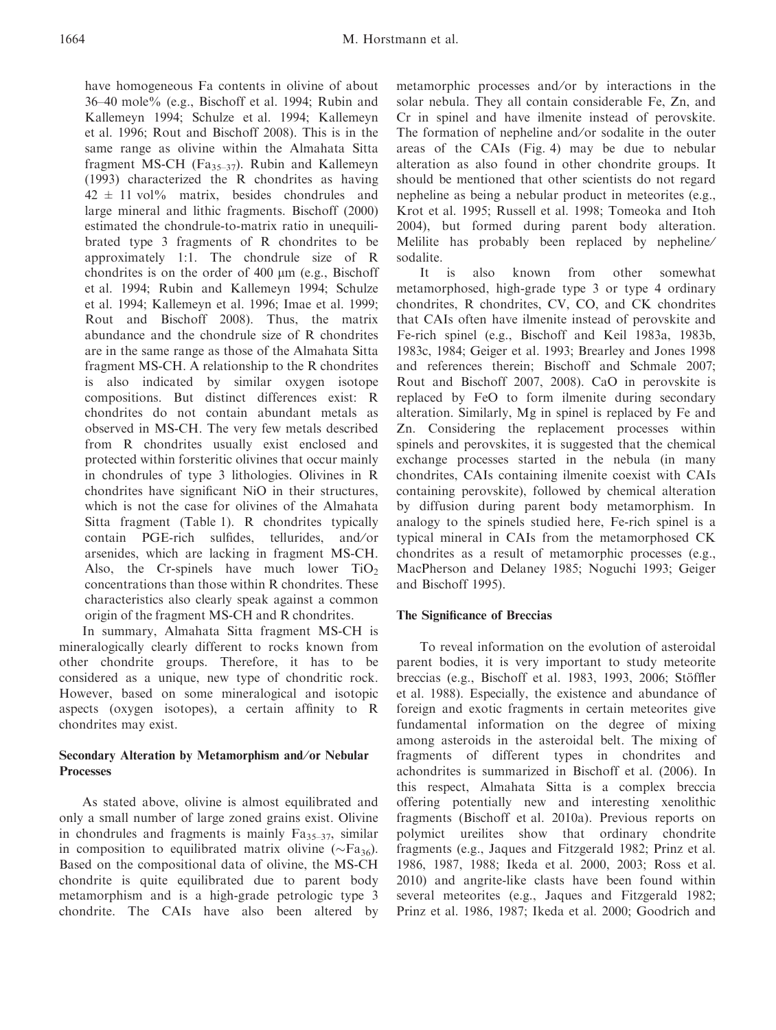have homogeneous Fa contents in olivine of about 36–40 mole% (e.g., Bischoff et al. 1994; Rubin and Kallemeyn 1994; Schulze et al. 1994; Kallemeyn et al. 1996; Rout and Bischoff 2008). This is in the same range as olivine within the Almahata Sitta fragment MS-CH (Fa<sub>35–37</sub>). Rubin and Kallemeyn (1993) characterized the R chondrites as having  $42 \pm 11$  vol<sup>%</sup> matrix, besides chondrules and large mineral and lithic fragments. Bischoff (2000) estimated the chondrule-to-matrix ratio in unequilibrated type 3 fragments of R chondrites to be approximately 1:1. The chondrule size of R chondrites is on the order of  $400 \mu m$  (e.g., Bischoff et al. 1994; Rubin and Kallemeyn 1994; Schulze et al. 1994; Kallemeyn et al. 1996; Imae et al. 1999; Rout and Bischoff 2008). Thus, the matrix abundance and the chondrule size of R chondrites are in the same range as those of the Almahata Sitta fragment MS-CH. A relationship to the R chondrites is also indicated by similar oxygen isotope compositions. But distinct differences exist: R chondrites do not contain abundant metals as observed in MS-CH. The very few metals described from R chondrites usually exist enclosed and protected within forsteritic olivines that occur mainly in chondrules of type 3 lithologies. Olivines in R chondrites have significant NiO in their structures, which is not the case for olivines of the Almahata Sitta fragment (Table 1). R chondrites typically contain PGE-rich sulfides, tellurides, and/or arsenides, which are lacking in fragment MS-CH. Also, the Cr-spinels have much lower  $TiO<sub>2</sub>$ concentrations than those within R chondrites. These characteristics also clearly speak against a common origin of the fragment MS-CH and R chondrites.

In summary, Almahata Sitta fragment MS-CH is mineralogically clearly different to rocks known from other chondrite groups. Therefore, it has to be considered as a unique, new type of chondritic rock. However, based on some mineralogical and isotopic aspects (oxygen isotopes), a certain affinity to R chondrites may exist.

# Secondary Alteration by Metamorphism and/or Nebular Processes

As stated above, olivine is almost equilibrated and only a small number of large zoned grains exist. Olivine in chondrules and fragments is mainly  $Fa_{35-37}$ , similar in composition to equilibrated matrix olivine ( $\sim$ Fa<sub>36</sub>). Based on the compositional data of olivine, the MS-CH chondrite is quite equilibrated due to parent body metamorphism and is a high-grade petrologic type 3 chondrite. The CAIs have also been altered by metamorphic processes and/or by interactions in the solar nebula. They all contain considerable Fe, Zn, and Cr in spinel and have ilmenite instead of perovskite. The formation of nepheline and/or sodalite in the outer areas of the CAIs (Fig. 4) may be due to nebular alteration as also found in other chondrite groups. It should be mentioned that other scientists do not regard nepheline as being a nebular product in meteorites (e.g., Krot et al. 1995; Russell et al. 1998; Tomeoka and Itoh 2004), but formed during parent body alteration. Melilite has probably been replaced by nepheline/ sodalite.

It is also known from other somewhat metamorphosed, high-grade type 3 or type 4 ordinary chondrites, R chondrites, CV, CO, and CK chondrites that CAIs often have ilmenite instead of perovskite and Fe-rich spinel (e.g., Bischoff and Keil 1983a, 1983b, 1983c, 1984; Geiger et al. 1993; Brearley and Jones 1998 and references therein; Bischoff and Schmale 2007; Rout and Bischoff 2007, 2008). CaO in perovskite is replaced by FeO to form ilmenite during secondary alteration. Similarly, Mg in spinel is replaced by Fe and Zn. Considering the replacement processes within spinels and perovskites, it is suggested that the chemical exchange processes started in the nebula (in many chondrites, CAIs containing ilmenite coexist with CAIs containing perovskite), followed by chemical alteration by diffusion during parent body metamorphism. In analogy to the spinels studied here, Fe-rich spinel is a typical mineral in CAIs from the metamorphosed CK chondrites as a result of metamorphic processes (e.g., MacPherson and Delaney 1985; Noguchi 1993; Geiger and Bischoff 1995).

## The Significance of Breccias

To reveal information on the evolution of asteroidal parent bodies, it is very important to study meteorite breccias (e.g., Bischoff et al. 1983, 1993, 2006; Stöffler et al. 1988). Especially, the existence and abundance of foreign and exotic fragments in certain meteorites give fundamental information on the degree of mixing among asteroids in the asteroidal belt. The mixing of fragments of different types in chondrites and achondrites is summarized in Bischoff et al. (2006). In this respect, Almahata Sitta is a complex breccia offering potentially new and interesting xenolithic fragments (Bischoff et al. 2010a). Previous reports on polymict ureilites show that ordinary chondrite fragments (e.g., Jaques and Fitzgerald 1982; Prinz et al. 1986, 1987, 1988; Ikeda et al. 2000, 2003; Ross et al. 2010) and angrite-like clasts have been found within several meteorites (e.g., Jaques and Fitzgerald 1982; Prinz et al. 1986, 1987; Ikeda et al. 2000; Goodrich and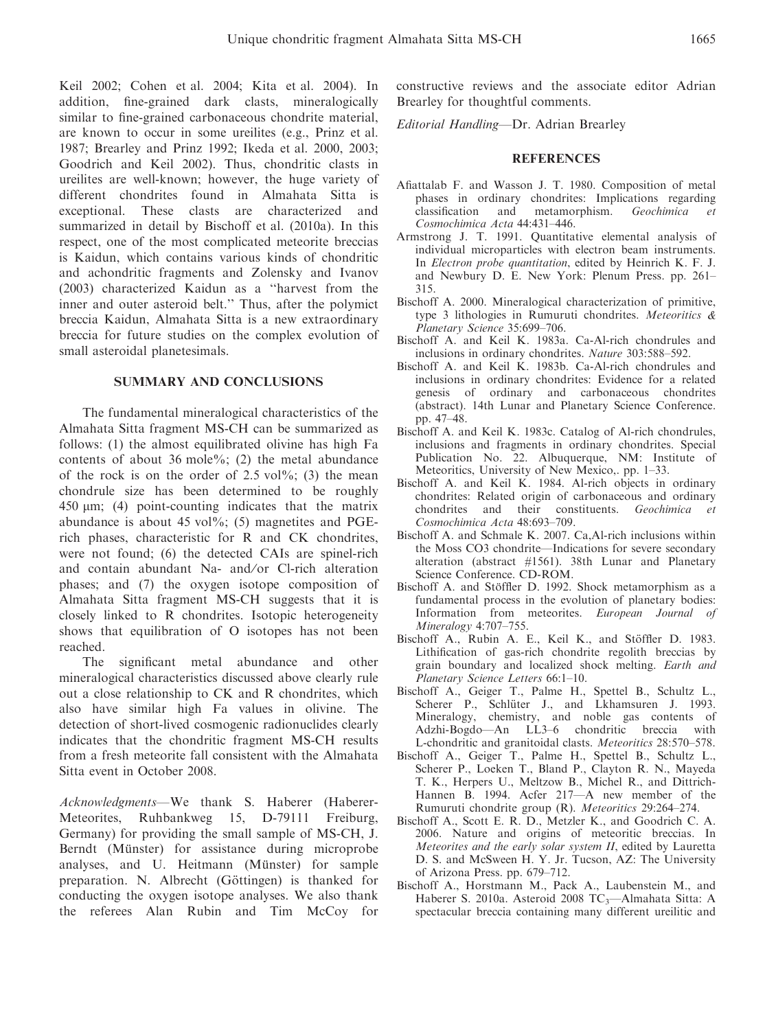Keil 2002; Cohen et al. 2004; Kita et al. 2004). In addition, fine-grained dark clasts, mineralogically similar to fine-grained carbonaceous chondrite material, are known to occur in some ureilites (e.g., Prinz et al. 1987; Brearley and Prinz 1992; Ikeda et al. 2000, 2003; Goodrich and Keil 2002). Thus, chondritic clasts in ureilites are well-known; however, the huge variety of different chondrites found in Almahata Sitta is exceptional. These clasts are characterized and summarized in detail by Bischoff et al. (2010a). In this respect, one of the most complicated meteorite breccias is Kaidun, which contains various kinds of chondritic and achondritic fragments and Zolensky and Ivanov (2003) characterized Kaidun as a ''harvest from the inner and outer asteroid belt.'' Thus, after the polymict breccia Kaidun, Almahata Sitta is a new extraordinary breccia for future studies on the complex evolution of small asteroidal planetesimals.

# SUMMARY AND CONCLUSIONS

The fundamental mineralogical characteristics of the Almahata Sitta fragment MS-CH can be summarized as follows: (1) the almost equilibrated olivine has high Fa contents of about 36 mole%; (2) the metal abundance of the rock is on the order of  $2.5 \text{ vol\%}$ ; (3) the mean chondrule size has been determined to be roughly 450 lm; (4) point-counting indicates that the matrix abundance is about 45 vol $\%$ ; (5) magnetites and PGErich phases, characteristic for R and CK chondrites, were not found; (6) the detected CAIs are spinel-rich and contain abundant Na- and/or Cl-rich alteration phases; and (7) the oxygen isotope composition of Almahata Sitta fragment MS-CH suggests that it is closely linked to R chondrites. Isotopic heterogeneity shows that equilibration of O isotopes has not been reached.

The significant metal abundance and other mineralogical characteristics discussed above clearly rule out a close relationship to CK and R chondrites, which also have similar high Fa values in olivine. The detection of short-lived cosmogenic radionuclides clearly indicates that the chondritic fragment MS-CH results from a fresh meteorite fall consistent with the Almahata Sitta event in October 2008.

Acknowledgments—We thank S. Haberer (Haberer-Meteorites, Ruhbankweg 15, D-79111 Freiburg, Germany) for providing the small sample of MS-CH, J. Berndt (Münster) for assistance during microprobe analyses, and U. Heitmann (Münster) for sample preparation. N. Albrecht (Göttingen) is thanked for conducting the oxygen isotope analyses. We also thank the referees Alan Rubin and Tim McCoy for constructive reviews and the associate editor Adrian Brearley for thoughtful comments.

Editorial Handling—Dr. Adrian Brearley

#### **REFERENCES**

- Afiattalab F. and Wasson J. T. 1980. Composition of metal phases in ordinary chondrites: Implications regarding classification and metamorphism. Geochimica et Cosmochimica Acta 44:431–446.
- Armstrong J. T. 1991. Quantitative elemental analysis of individual microparticles with electron beam instruments. In Electron probe quantitation, edited by Heinrich K. F. J. and Newbury D. E. New York: Plenum Press. pp. 261– 315.
- Bischoff A. 2000. Mineralogical characterization of primitive, type 3 lithologies in Rumuruti chondrites. Meteoritics & Planetary Science 35:699–706.
- Bischoff A. and Keil K. 1983a. Ca-Al-rich chondrules and inclusions in ordinary chondrites. Nature 303:588–592.
- Bischoff A. and Keil K. 1983b. Ca-Al-rich chondrules and inclusions in ordinary chondrites: Evidence for a related genesis of ordinary and carbonaceous chondrites (abstract). 14th Lunar and Planetary Science Conference. pp. 47–48.
- Bischoff A. and Keil K. 1983c. Catalog of Al-rich chondrules, inclusions and fragments in ordinary chondrites. Special Publication No. 22. Albuquerque, NM: Institute of Meteoritics, University of New Mexico,. pp. 1–33.
- Bischoff A. and Keil K. 1984. Al-rich objects in ordinary chondrites: Related origin of carbonaceous and ordinary chondrites and their constituents. Geochimica et Cosmochimica Acta 48:693–709.
- Bischoff A. and Schmale K. 2007. Ca,Al-rich inclusions within the Moss CO3 chondrite—Indications for severe secondary alteration (abstract #1561). 38th Lunar and Planetary Science Conference. CD-ROM.
- Bischoff A. and Stöffler D. 1992. Shock metamorphism as a fundamental process in the evolution of planetary bodies: Information from meteorites. European Journal of Mineralogy 4:707–755.
- Bischoff A., Rubin A. E., Keil K., and Stöffler D. 1983. Lithification of gas-rich chondrite regolith breccias by grain boundary and localized shock melting. Earth and Planetary Science Letters 66:1–10.
- Bischoff A., Geiger T., Palme H., Spettel B., Schultz L., Scherer P., Schlüter J., and Lkhamsuren J. 1993. Mineralogy, chemistry, and noble gas contents of Adzhi-Bogdo—An LL3–6 chondritic breccia with L-chondritic and granitoidal clasts. Meteoritics 28:570–578.
- Bischoff A., Geiger T., Palme H., Spettel B., Schultz L., Scherer P., Loeken T., Bland P., Clayton R. N., Mayeda T. K., Herpers U., Meltzow B., Michel R., and Dittrich-Hannen B. 1994. Acfer 217—A new member of the Rumuruti chondrite group (R). Meteoritics 29:264–274.
- Bischoff A., Scott E. R. D., Metzler K., and Goodrich C. A. 2006. Nature and origins of meteoritic breccias. In Meteorites and the early solar system II, edited by Lauretta D. S. and McSween H. Y. Jr. Tucson, AZ: The University of Arizona Press. pp. 679–712.
- Bischoff A., Horstmann M., Pack A., Laubenstein M., and Haberer S. 2010a. Asteroid 2008  $TC_3$ —Almahata Sitta: A spectacular breccia containing many different ureilitic and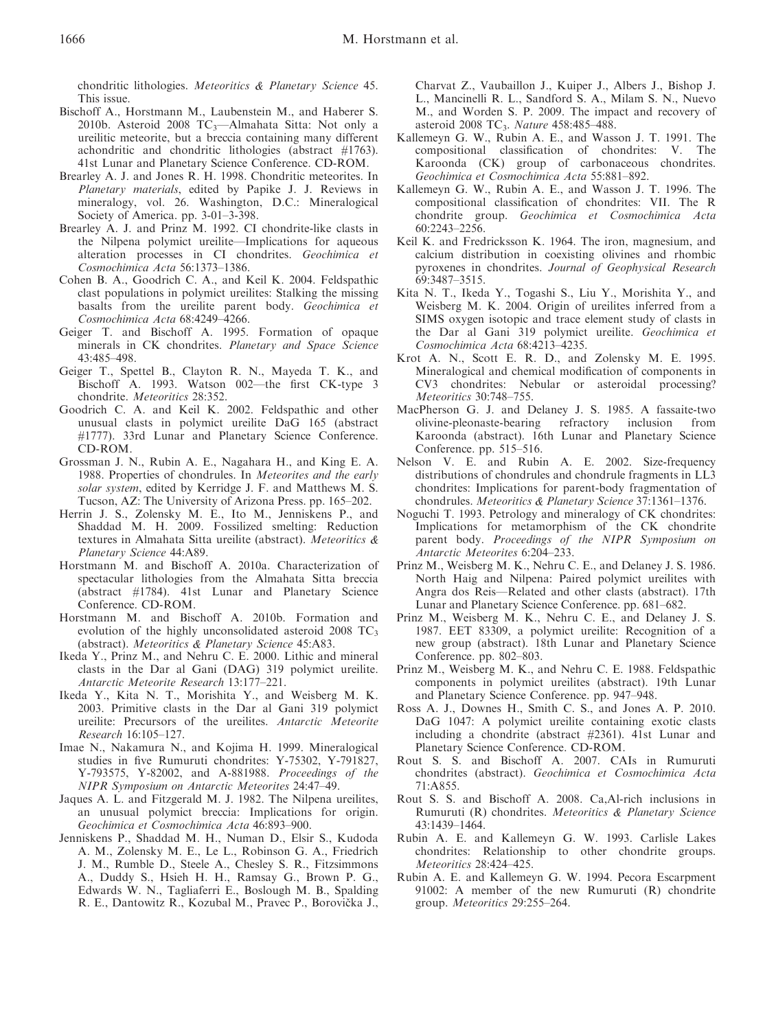chondritic lithologies. Meteoritics & Planetary Science 45. This issue.

- Bischoff A., Horstmann M., Laubenstein M., and Haberer S. 2010b. Asteroid 2008  $TC_3$ —Almahata Sitta: Not only a ureilitic meteorite, but a breccia containing many different achondritic and chondritic lithologies (abstract #1763). 41st Lunar and Planetary Science Conference. CD-ROM.
- Brearley A. J. and Jones R. H. 1998. Chondritic meteorites. In Planetary materials, edited by Papike J. J. Reviews in mineralogy, vol. 26. Washington, D.C.: Mineralogical Society of America. pp. 3-01–3-398.
- Brearley A. J. and Prinz M. 1992. CI chondrite-like clasts in the Nilpena polymict ureilite—Implications for aqueous alteration processes in CI chondrites. Geochimica et Cosmochimica Acta 56:1373–1386.
- Cohen B. A., Goodrich C. A., and Keil K. 2004. Feldspathic clast populations in polymict ureilites: Stalking the missing basalts from the ureilite parent body. Geochimica et Cosmochimica Acta 68:4249–4266.
- Geiger T. and Bischoff A. 1995. Formation of opaque minerals in CK chondrites. Planetary and Space Science 43:485–498.
- Geiger T., Spettel B., Clayton R. N., Mayeda T. K., and Bischoff A. 1993. Watson 002—the first CK-type 3 chondrite. Meteoritics 28:352.
- Goodrich C. A. and Keil K. 2002. Feldspathic and other unusual clasts in polymict ureilite DaG 165 (abstract #1777). 33rd Lunar and Planetary Science Conference. CD-ROM.
- Grossman J. N., Rubin A. E., Nagahara H., and King E. A. 1988. Properties of chondrules. In Meteorites and the early solar system, edited by Kerridge J. F. and Matthews M. S. Tucson, AZ: The University of Arizona Press. pp. 165–202.
- Herrin J. S., Zolensky M. E., Ito M., Jenniskens P., and Shaddad M. H. 2009. Fossilized smelting: Reduction textures in Almahata Sitta ureilite (abstract). Meteoritics & Planetary Science 44:A89.
- Horstmann M. and Bischoff A. 2010a. Characterization of spectacular lithologies from the Almahata Sitta breccia (abstract #1784). 41st Lunar and Planetary Science Conference. CD-ROM.
- Horstmann M. and Bischoff A. 2010b. Formation and evolution of the highly unconsolidated asteroid  $2008$  TC<sub>3</sub> (abstract). Meteoritics & Planetary Science 45:A83.
- Ikeda Y., Prinz M., and Nehru C. E. 2000. Lithic and mineral clasts in the Dar al Gani (DAG) 319 polymict ureilite. Antarctic Meteorite Research 13:177–221.
- Ikeda Y., Kita N. T., Morishita Y., and Weisberg M. K. 2003. Primitive clasts in the Dar al Gani 319 polymict ureilite: Precursors of the ureilites. Antarctic Meteorite Research 16:105–127.
- Imae N., Nakamura N., and Kojima H. 1999. Mineralogical studies in five Rumuruti chondrites: Y-75302, Y-791827, Y-793575, Y-82002, and A-881988. Proceedings of the NIPR Symposium on Antarctic Meteorites 24:47–49.
- Jaques A. L. and Fitzgerald M. J. 1982. The Nilpena ureilites, an unusual polymict breccia: Implications for origin. Geochimica et Cosmochimica Acta 46:893–900.
- Jenniskens P., Shaddad M. H., Numan D., Elsir S., Kudoda A. M., Zolensky M. E., Le L., Robinson G. A., Friedrich J. M., Rumble D., Steele A., Chesley S. R., Fitzsimmons A., Duddy S., Hsieh H. H., Ramsay G., Brown P. G., Edwards W. N., Tagliaferri E., Boslough M. B., Spalding R. E., Dantowitz R., Kozubal M., Pravec P., Borovička J.,

Charvat Z., Vaubaillon J., Kuiper J., Albers J., Bishop J. L., Mancinelli R. L., Sandford S. A., Milam S. N., Nuevo M., and Worden S. P. 2009. The impact and recovery of asteroid 2008 TC<sub>3</sub>. Nature 458:485-488.

- Kallemeyn G. W., Rubin A. E., and Wasson J. T. 1991. The compositional classification of chondrites: V. The Karoonda (CK) group of carbonaceous chondrites. Geochimica et Cosmochimica Acta 55:881–892.
- Kallemeyn G. W., Rubin A. E., and Wasson J. T. 1996. The compositional classification of chondrites: VII. The R chondrite group. Geochimica et Cosmochimica Acta 60:2243–2256.
- Keil K. and Fredricksson K. 1964. The iron, magnesium, and calcium distribution in coexisting olivines and rhombic pyroxenes in chondrites. Journal of Geophysical Research 69:3487–3515.
- Kita N. T., Ikeda Y., Togashi S., Liu Y., Morishita Y., and Weisberg M. K. 2004. Origin of ureilites inferred from a SIMS oxygen isotopic and trace element study of clasts in the Dar al Gani 319 polymict ureilite. Geochimica et Cosmochimica Acta 68:4213–4235.
- Krot A. N., Scott E. R. D., and Zolensky M. E. 1995. Mineralogical and chemical modification of components in CV3 chondrites: Nebular or asteroidal processing? Meteoritics 30:748–755.
- MacPherson G. J. and Delaney J. S. 1985. A fassaite-two olivine-pleonaste-bearing refractory inclusion from Karoonda (abstract). 16th Lunar and Planetary Science Conference. pp. 515–516.
- Nelson V. E. and Rubin A. E. 2002. Size-frequency distributions of chondrules and chondrule fragments in LL3 chondrites: Implications for parent-body fragmentation of chondrules. Meteoritics & Planetary Science 37:1361–1376.
- Noguchi T. 1993. Petrology and mineralogy of CK chondrites: Implications for metamorphism of the CK chondrite parent body. Proceedings of the NIPR Symposium on Antarctic Meteorites 6:204–233.
- Prinz M., Weisberg M. K., Nehru C. E., and Delaney J. S. 1986. North Haig and Nilpena: Paired polymict ureilites with Angra dos Reis—Related and other clasts (abstract). 17th Lunar and Planetary Science Conference. pp. 681–682.
- Prinz M., Weisberg M. K., Nehru C. E., and Delaney J. S. 1987. EET 83309, a polymict ureilite: Recognition of a new group (abstract). 18th Lunar and Planetary Science Conference. pp. 802–803.
- Prinz M., Weisberg M. K., and Nehru C. E. 1988. Feldspathic components in polymict ureilites (abstract). 19th Lunar and Planetary Science Conference. pp. 947–948.
- Ross A. J., Downes H., Smith C. S., and Jones A. P. 2010. DaG 1047: A polymict ureilite containing exotic clasts including a chondrite (abstract #2361). 41st Lunar and Planetary Science Conference. CD-ROM.
- Rout S. S. and Bischoff A. 2007. CAIs in Rumuruti chondrites (abstract). Geochimica et Cosmochimica Acta 71:A855.
- Rout S. S. and Bischoff A. 2008. Ca,Al-rich inclusions in Rumuruti (R) chondrites. Meteoritics & Planetary Science 43:1439–1464.
- Rubin A. E. and Kallemeyn G. W. 1993. Carlisle Lakes chondrites: Relationship to other chondrite groups. Meteoritics 28:424–425.
- Rubin A. E. and Kallemeyn G. W. 1994. Pecora Escarpment 91002: A member of the new Rumuruti (R) chondrite group. Meteoritics 29:255–264.